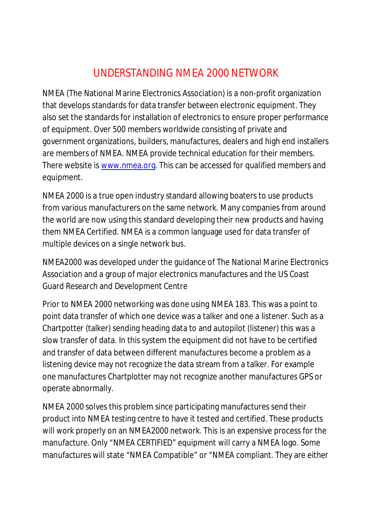## UNDERSTANDING NMEA 2000 NETWORK

NMEA (The National Marine Electronics Association) is a non-profit organization that develops standards for data transfer between electronic equipment. They also set the standards for installation of electronics to ensure proper performance of equipment. Over 500 members worldwide consisting of private and government organizations, builders, manufactures, dealers and high end installers are members of NMEA. NMEA provide technical education for their members. There website is [www.nmea.org.](http://www.nmea.org.) This can be accessed for qualified members and equipment.

NMEA 2000 is a true open industry standard allowing boaters to use products from various manufacturers on the same network. Many companies from around the world are now using this standard developing their new products and having them NMEA Certified. NMEA is a common language used for data transfer of multiple devices on a single network bus.

NMEA2000 was developed under the guidance of The National Marine Electronics Association and a group of major electronics manufactures and the US Coast Guard Research and Development Centre

Prior to NMEA 2000 networking was done using NMEA 183. This was a point to point data transfer of which one device was a talker and one a listener. Such as a Chartpotter (talker) sending heading data to and autopilot (listener) this was a slow transfer of data. In this system the equipment did not have to be certified and transfer of data between different manufactures become a problem as a listening device may not recognize the data stream from a talker. For example one manufactures Chartplotter may not recognize another manufactures GPS or operate abnormally.

NMEA 2000 solves this problem since participating manufactures send their product into NMEA testing centre to have it tested and certified. These products will work properly on an NMEA2000 network. This is an expensive process for the manufacture. Only "NMEA CERTIFIED" equipment will carry a NMEA logo. Some manufactures will state "NMEA Compatible" or "NMEA compliant. They are either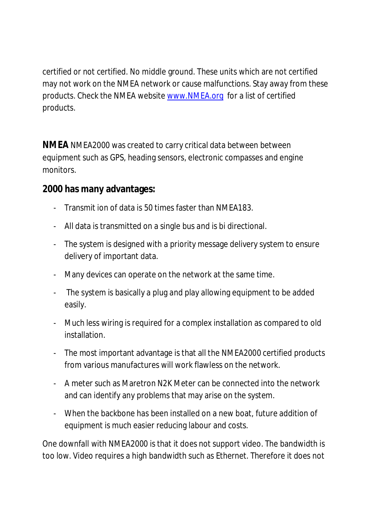certified or not certified. No middle ground. These units which are not certified may not work on the NMEA network or cause malfunctions. Stay away from these products. Check the NMEA website [www.NMEA.org](http://www.NMEA.org) for a list of certified products.

**NMEA** NMEA2000 was created to carry critical data between between equipment such as GPS, heading sensors, electronic compasses and engine monitors.

**2000 has many advantages:**

- Transmit ion of data is 50 times faster than NMEA183.
- All data is transmitted on a single bus and is bi directional.
- The system is designed with a priority message delivery system to ensure delivery of important data.
- Many devices can operate on the network at the same time.
- The system is basically a plug and play allowing equipment to be added easily.
- Much less wiring is required for a complex installation as compared to old installation.
- The most important advantage is that all the NMEA2000 certified products from various manufactures will work flawless on the network.
- A meter such as Maretron N2K Meter can be connected into the network and can identify any problems that may arise on the system.
- When the backbone has been installed on a new boat, future addition of equipment is much easier reducing labour and costs.

One downfall with NMEA2000 is that it does not support video. The bandwidth is too low. Video requires a high bandwidth such as Ethernet. Therefore it does not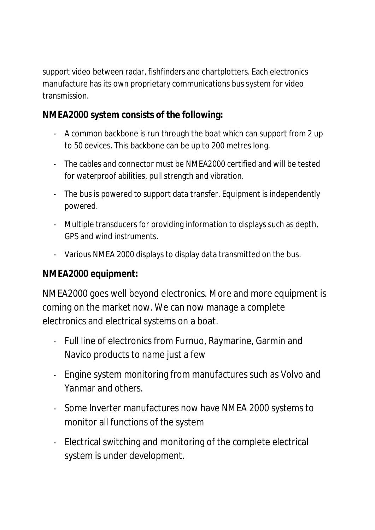support video between radar, fishfinders and chartplotters. Each electronics manufacture has its own proprietary communications bus system for video transmission.

**NMEA2000 system consists of the following:**

- A common backbone is run through the boat which can support from 2 up to 50 devices. This backbone can be up to 200 metres long.
- The cables and connector must be NMEA2000 certified and will be tested for waterproof abilities, pull strength and vibration.
- The bus is powered to support data transfer. Equipment is independently powered.
- Multiple transducers for providing information to displays such as depth, GPS and wind instruments.
- Various NMEA 2000 displays to display data transmitted on the bus.

## **NMEA2000 equipment:**

NMEA2000 goes well beyond electronics. More and more equipment is coming on the market now. We can now manage a complete electronics and electrical systems on a boat.

- Full line of electronics from Furnuo, Raymarine, Garmin and Navico products to name just a few
- Engine system monitoring from manufactures such as Volvo and Yanmar and others.
- Some Inverter manufactures now have NMEA 2000 systems to monitor all functions of the system
- Electrical switching and monitoring of the complete electrical system is under development.